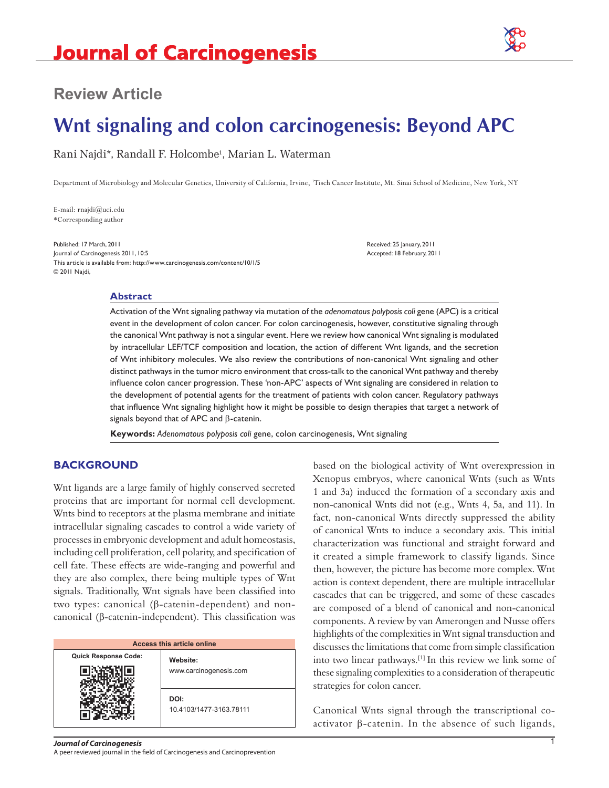

## **Review Article**

# **Wnt signaling and colon carcinogenesis: Beyond APC**

Rani Najdi\*, Randall F. Holcombe<sup>1</sup>, Marian L. Waterman

Department of Microbiology and Molecular Genetics, University of California, Irvine, 1 Tisch Cancer Institute, Mt. Sinai School of Medicine, New York, NY

E-mail: rnajdi@uci.edu \*Corresponding author

Published: 17 March, 2011 Received: 25 January, 2011 Journal of Carcinogenesis 2011, 10:5 Accepted: 18 February, 2011 This article is available from: http://www.carcinogenesis.com/content/10/1/5 © 2011 Najdi,

#### **Abstract**

Activation of the Wnt signaling pathway via mutation of the *adenomatous polyposis coli* gene (APC) is a critical event in the development of colon cancer. For colon carcinogenesis, however, constitutive signaling through the canonical Wnt pathway is not a singular event. Here we review how canonical Wnt signaling is modulated by intracellular LEF/TCF composition and location, the action of different Wnt ligands, and the secretion of Wnt inhibitory molecules. We also review the contributions of non-canonical Wnt signaling and other distinct pathways in the tumor micro environment that cross-talk to the canonical Wnt pathway and thereby influence colon cancer progression. These 'non-APC' aspects of Wnt signaling are considered in relation to the development of potential agents for the treatment of patients with colon cancer. Regulatory pathways that influence Wnt signaling highlight how it might be possible to design therapies that target a network of signals beyond that of APC and β-catenin.

**Keywords:** *Adenomatous polyposis coli* gene, colon carcinogenesis, Wnt signaling

#### **BACKGROUND**

Wnt ligands are a large family of highly conserved secreted proteins that are important for normal cell development. Wnts bind to receptors at the plasma membrane and initiate intracellular signaling cascades to control a wide variety of processes in embryonic development and adult homeostasis, including cell proliferation, cell polarity, and specification of cell fate. These effects are wide-ranging and powerful and they are also complex, there being multiple types of Wnt signals. Traditionally, Wnt signals have been classified into two types: canonical (β-catenin-dependent) and noncanonical (β-catenin-independent). This classification was

| Access this article online  |                                    |
|-----------------------------|------------------------------------|
| <b>Quick Response Code:</b> | Website:<br>www.carcinogenesis.com |
|                             | DOI:<br>10.4103/1477-3163.78111    |

based on the biological activity of Wnt overexpression in Xenopus embryos, where canonical Wnts (such as Wnts 1 and 3a) induced the formation of a secondary axis and non-canonical Wnts did not (e.g., Wnts 4, 5a, and 11). In fact, non-canonical Wnts directly suppressed the ability of canonical Wnts to induce a secondary axis. This initial characterization was functional and straight forward and it created a simple framework to classify ligands. Since then, however, the picture has become more complex. Wnt action is context dependent, there are multiple intracellular cascades that can be triggered, and some of these cascades are composed of a blend of canonical and non-canonical components. A review by van Amerongen and Nusse offers highlights of the complexities in Wnt signal transduction and discusses the limitations that come from simple classification into two linear pathways.[1] In this review we link some of these signaling complexities to a consideration of therapeutic strategies for colon cancer.

Canonical Wnts signal through the transcriptional coactivator β-catenin. In the absence of such ligands,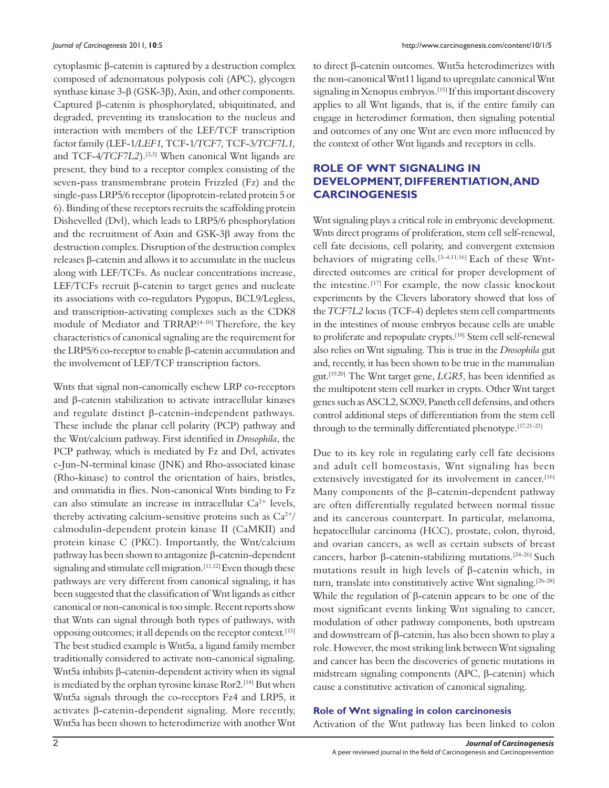cytoplasmic β-catenin is captured by a destruction complex composed of adenomatous polyposis coli (APC), glycogen synthase kinase 3-β (GSK-3β), Axin, and other components. Captured β-catenin is phosphorylated, ubiquitinated, and degraded, preventing its translocation to the nucleus and interaction with members of the LEF/TCF transcription factor family (LEF-1/*LEF1,* TCF-1*/TCF7,* TCF-3/*TCF7L1,*  and TCF-4/*TCF7L2*).<sup>[2,3]</sup> When canonical Wnt ligands are present, they bind to a receptor complex consisting of the seven-pass transmembrane protein Frizzled (Fz) and the single-pass LRP5/6 receptor (lipoprotein-related protein 5 or 6). Binding of these receptors recruits the scaffolding protein Dishevelled (Dvl), which leads to LRP5/6 phosphorylation and the recruitment of Axin and GSK-3β away from the destruction complex. Disruption of the destruction complex releases β-catenin and allows it to accumulate in the nucleus along with LEF/TCFs. As nuclear concentrations increase, LEF/TCFs recruit β-catenin to target genes and nucleate its associations with co-regulators Pygopus, BCL9/Legless, and transcription-activating complexes such as the CDK8 module of Mediator and TRRAP.<sup>[4-10]</sup> Therefore, the key characteristics of canonical signaling are the requirement for the LRP5/6 co-receptor to enable β-catenin accumulation and the involvement of LEF/TCF transcription factors.

Wnts that signal non-canonically eschew LRP co-receptors and β-catenin stabilization to activate intracellular kinases and regulate distinct β-catenin-independent pathways. These include the planar cell polarity (PCP) pathway and the Wnt/calcium pathway. First identified in *Drosophila*, the PCP pathway, which is mediated by Fz and Dvl, activates c-Jun-N-terminal kinase (JNK) and Rho-associated kinase (Rho-kinase) to control the orientation of hairs, bristles, and ommatidia in flies. Non-canonical Wnts binding to Fz can also stimulate an increase in intracellular Ca<sup>2+</sup> levels, thereby activating calcium-sensitive proteins such as  $Ca^{2+}/$ calmodulin-dependent protein kinase II (CaMKII) and protein kinase C (PKC). Importantly, the Wnt/calcium pathway has been shown to antagonize β-catenin-dependent signaling and stimulate cell migration.<sup>[11,12]</sup> Even though these pathways are very different from canonical signaling, it has been suggested that the classification of Wnt ligands as either canonical or non-canonical is too simple. Recent reports show that Wnts can signal through both types of pathways, with opposing outcomes; it all depends on the receptor context.[13] The best studied example is Wnt5a, a ligand family member traditionally considered to activate non-canonical signaling. Wnt5a inhibits β-catenin-dependent activity when its signal is mediated by the orphan tyrosine kinase Ror2.[14] But when Wnt5a signals through the co-receptors Fz4 and LRP5, it activates β-catenin-dependent signaling. More recently, Wnt5a has been shown to heterodimerize with another Wnt to direct β-catenin outcomes. Wnt5a heterodimerizes with the non-canonical Wnt11 ligand to upregulate canonical Wnt signaling in Xenopus embryos.<sup>[15]</sup> If this important discovery applies to all Wnt ligands, that is, if the entire family can engage in heterodimer formation, then signaling potential and outcomes of any one Wnt are even more influenced by the context of other Wnt ligands and receptors in cells.

### **ROLE OF WNT SIGNALING IN DEVELOPMENT, DIFFERENTIATION, AND CARCINOGENESIS**

Wnt signaling plays a critical role in embryonic development. Wnts direct programs of proliferation, stem cell self-renewal, cell fate decisions, cell polarity, and convergent extension behaviors of migrating cells.[3–4,11,16] Each of these Wntdirected outcomes are critical for proper development of the intestine. [17] For example, the now classic knockout experiments by the Clevers laboratory showed that loss of the *TCF7L2* locus (TCF-4) depletes stem cell compartments in the intestines of mouse embryos because cells are unable to proliferate and repopulate crypts.<sup>[18]</sup> Stem cell self-renewal also relies on Wnt signaling. This is true in the *Drosophila* gut and, recently, it has been shown to be true in the mammalian gut.[19,20] The Wnt target gene, *LGR5*, has been identified as the multipotent stem cell marker in crypts. Other Wnt target genes such as ASCL2, SOX9, Paneth cell defensins, and others control additional steps of differentiation from the stem cell through to the terminally differentiated phenotype.[17,21–23]

Due to its key role in regulating early cell fate decisions and adult cell homeostasis, Wnt signaling has been extensively investigated for its involvement in cancer.<sup>[16]</sup> Many components of the β-catenin-dependent pathway are often differentially regulated between normal tissue and its cancerous counterpart. In particular, melanoma, hepatocellular carcinoma (HCC), prostate, colon, thyroid, and ovarian cancers, as well as certain subsets of breast cancers, harbor β-catenin-stabilizing mutations.[24–26] Such mutations result in high levels of β-catenin which, in turn, translate into constitutively active Wnt signaling.<sup>[26-28]</sup> While the regulation of β-catenin appears to be one of the most significant events linking Wnt signaling to cancer, modulation of other pathway components, both upstream and downstream of β-catenin, has also been shown to play a role. However, the most striking link between Wnt signaling and cancer has been the discoveries of genetic mutations in midstream signaling components (APC, β-catenin) which cause a constitutive activation of canonical signaling.

#### **Role of Wnt signaling in colon carcinonesis**

Activation of the Wnt pathway has been linked to colon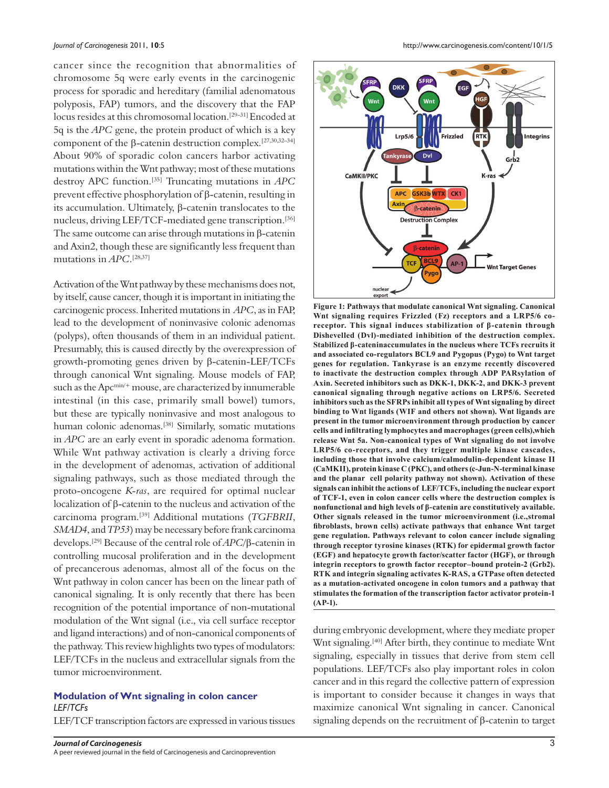cancer since the recognition that abnormalities of chromosome 5q were early events in the carcinogenic process for sporadic and hereditary (familial adenomatous polyposis, FAP) tumors, and the discovery that the FAP locus resides at this chromosomal location.[29–31] Encoded at 5q is the *APC* gene, the protein product of which is a key component of the β-catenin destruction complex.[27,30,32–34] About 90% of sporadic colon cancers harbor activating mutations within the Wnt pathway; most of these mutations destroy APC function.[35] Truncating mutations in *APC*  prevent effective phosphorylation of β-catenin, resulting in its accumulation. Ultimately, β-catenin translocates to the nucleus, driving LEF/TCF-mediated gene transcription.[36] The same outcome can arise through mutations in β-catenin and Axin2, though these are significantly less frequent than mutations in *APC*. [28,37]

Activation of the Wnt pathway by these mechanisms does not, by itself, cause cancer, though it is important in initiating the carcinogenic process. Inherited mutations in *APC*, as in FAP, lead to the development of noninvasive colonic adenomas (polyps), often thousands of them in an individual patient. Presumably, this is caused directly by the overexpression of growth-promoting genes driven by β-catenin-LEF/TCFs through canonical Wnt signaling. Mouse models of FAP, such as the Apc<sup>min/+</sup> mouse, are characterized by innumerable intestinal (in this case, primarily small bowel) tumors, but these are typically noninvasive and most analogous to human colonic adenomas.<sup>[38]</sup> Similarly, somatic mutations in *APC* are an early event in sporadic adenoma formation. While Wnt pathway activation is clearly a driving force in the development of adenomas, activation of additional signaling pathways, such as those mediated through the proto-oncogene *K-ras*, are required for optimal nuclear localization of β-catenin to the nucleus and activation of the carcinoma program.[39] Additional mutations (*TGFBRII*, *SMAD4*, and *TP53*) may be necessary before frank carcinoma develops.[29] Because of the central role of *APC*/β-catenin in controlling mucosal proliferation and in the development of precancerous adenomas, almost all of the focus on the Wnt pathway in colon cancer has been on the linear path of canonical signaling. It is only recently that there has been recognition of the potential importance of non-mutational modulation of the Wnt signal (i.e., via cell surface receptor and ligand interactions) and of non-canonical components of the pathway. This review highlights two types of modulators: LEF/TCFs in the nucleus and extracellular signals from the tumor microenvironment.

#### **Modulation of Wnt signaling in colon cancer** *LEF/TCFs*

LEF/TCF transcription factors are expressed in various tissues

*Journal of Carcinogenesis* 2011, **10**:5 http://www.carcinogenesis.com/content/10/1/5



**Figure 1: Pathways that modulate canonical Wnt signaling. Canonical Wnt signaling requires Frizzled (Fz) receptors and a LRP5/6 coreceptor. This signal induces stabilization of β-catenin through Dishevelled (Dvl)-mediated inhibition of the destruction complex. Stabilized β-cateninaccumulates in the nucleus where TCFs recruits it and associated co-regulators BCL9 and Pygopus (Pygo) to Wnt target genes for regulation. Tankyrase is an enzyme recently discovered to inactivate the destruction complex through ADP PARsylation of Axin. Secreted inhibitors such as DKK-1, DKK-2, and DKK-3 prevent canonical signaling through negative actions on LRP5/6. Secreted inhibitors such as the SFRPs inhibit all types of Wnt signaling by direct binding to Wnt ligands (WIF and others not shown). Wnt ligands are present in the tumor microenvironment through production by cancer cells and infiltrating lymphocytes and macrophages (green cells),which release Wnt 5a. Non-canonical types of Wnt signaling do not involve LRP5/6 co-receptors, and they trigger multiple kinase cascades, including those that involve calcium/calmodulin-dependent kinase II (CaMKII), protein kinase C (PKC), and others (c-Jun-N-terminal kinase and the planar cell polarity pathway not shown). Activation of these signals can inhibit the actions of LEF/TCFs, including the nuclear export of TCF-1, even in colon cancer cells where the destruction complex is nonfunctional and high levels of β-catenin are constitutively available. Other signals released in the tumor microenvironment (i.e.,stromal fibroblasts, brown cells) activate pathways that enhance Wnt target gene regulation. Pathways relevant to colon cancer include signaling through receptor tyrosine kinases (RTK) for epidermal growth factor (EGF) and hepatocyte growth factor/scatter factor (HGF), or through integrin receptors to growth factor receptor–bound protein-2 (Grb2). RTK and integrin signaling activates K-RAS, a GTPase often detected as a mutation-activated oncogene in colon tumors and a pathway that stimulates the formation of the transcription factor activator protein-1 (AP-1).**

during embryonic development, where they mediate proper Wnt signaling.<sup>[40]</sup> After birth, they continue to mediate Wnt signaling, especially in tissues that derive from stem cell populations. LEF/TCFs also play important roles in colon cancer and in this regard the collective pattern of expression is important to consider because it changes in ways that maximize canonical Wnt signaling in cancer. Canonical signaling depends on the recruitment of β-catenin to target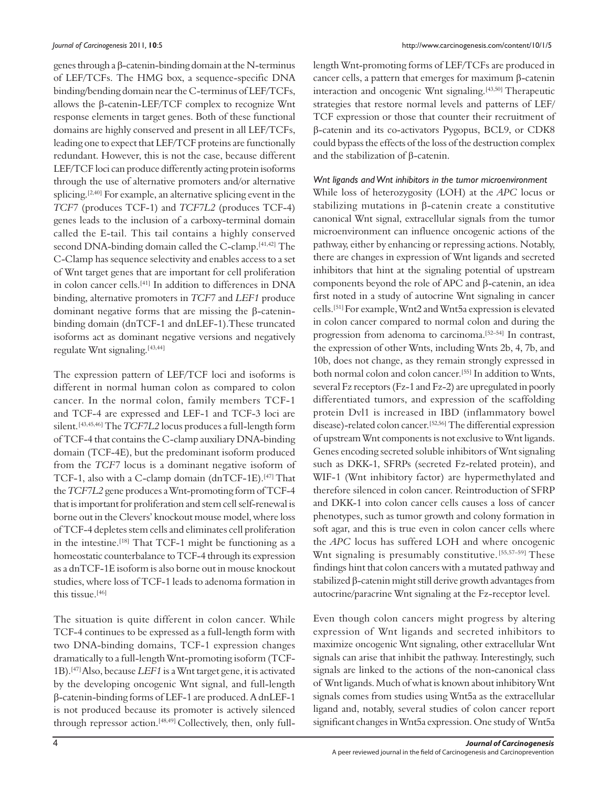genes through a β-catenin-binding domain at the N-terminus of LEF/TCFs. The HMG box, a sequence-specific DNA binding/bending domain near the C-terminus of LEF/TCFs, allows the β-catenin-LEF/TCF complex to recognize Wnt response elements in target genes. Both of these functional domains are highly conserved and present in all LEF/TCFs, leading one to expect that LEF/TCF proteins are functionally redundant. However, this is not the case, because different LEF/TCF loci can produce differently acting protein isoforms through the use of alternative promoters and/or alternative splicing.<sup>[2,40]</sup> For example, an alternative splicing event in the *TCF7* (produces TCF-1) and *TCF7L2* (produces TCF-4) genes leads to the inclusion of a carboxy-terminal domain called the E-tail. This tail contains a highly conserved second DNA-binding domain called the C-clamp.<sup>[41,42]</sup> The C-Clamp has sequence selectivity and enables access to a set of Wnt target genes that are important for cell proliferation in colon cancer cells.[41] In addition to differences in DNA binding, alternative promoters in *TCF7* and *LEF1* produce dominant negative forms that are missing the β-cateninbinding domain (dnTCF-1 and dnLEF-1).These truncated isoforms act as dominant negative versions and negatively regulate Wnt signaling.<sup>[43,44]</sup>

The expression pattern of LEF/TCF loci and isoforms is different in normal human colon as compared to colon cancer. In the normal colon, family members TCF-1 and TCF-4 are expressed and LEF-1 and TCF-3 loci are silent.[43,45,46] The *TCF7L2* locus produces a full-length form of TCF-4 that contains the C-clamp auxiliary DNA-binding domain (TCF-4E), but the predominant isoform produced from the *TCF7* locus is a dominant negative isoform of TCF-1, also with a C-clamp domain (dnTCF-1E).[47] That the *TCF7L2* gene produces a Wnt-promoting form of TCF-4 that is important for proliferation and stem cell self-renewal is borne out in the Clevers' knockout mouse model, where loss of TCF-4 depletes stem cells and eliminates cell proliferation in the intestine.<sup>[18]</sup> That TCF-1 might be functioning as a homeostatic counterbalance to TCF-4 through its expression as a dnTCF-1E isoform is also borne out in mouse knockout studies, where loss of TCF-1 leads to adenoma formation in this tissue.<sup>[46]</sup>

The situation is quite different in colon cancer. While TCF-4 continues to be expressed as a full-length form with two DNA-binding domains, TCF-1 expression changes dramatically to a full-length Wnt-promoting isoform (TCF-1B).[47] Also, because *LEF1* is a Wnt target gene, it is activated by the developing oncogenic Wnt signal, and full-length β-catenin-binding forms of LEF-1 are produced. A dnLEF-1 is not produced because its promoter is actively silenced through repressor action.<sup>[48,49]</sup> Collectively, then, only fulllength Wnt-promoting forms of LEF/TCFs are produced in cancer cells, a pattern that emerges for maximum β-catenin interaction and oncogenic Wnt signaling.<sup>[43,50]</sup> Therapeutic strategies that restore normal levels and patterns of LEF/ TCF expression or those that counter their recruitment of β-catenin and its co-activators Pygopus, BCL9, or CDK8 could bypass the effects of the loss of the destruction complex and the stabilization of β-catenin.

#### *Wnt ligands and Wnt inhibitors in the tumor microenvironment*

While loss of heterozygosity (LOH) at the *APC* locus or stabilizing mutations in β-catenin create a constitutive canonical Wnt signal, extracellular signals from the tumor microenvironment can influence oncogenic actions of the pathway, either by enhancing or repressing actions. Notably, there are changes in expression of Wnt ligands and secreted inhibitors that hint at the signaling potential of upstream components beyond the role of APC and β-catenin, an idea first noted in a study of autocrine Wnt signaling in cancer cells.[51] For example, Wnt2 and Wnt5a expression is elevated in colon cancer compared to normal colon and during the progression from adenoma to carcinoma.[52–54] In contrast, the expression of other Wnts, including Wnts 2b, 4, 7b, and 10b, does not change, as they remain strongly expressed in both normal colon and colon cancer.[55] In addition to Wnts, several Fz receptors (Fz-1 and Fz-2) are upregulated in poorly differentiated tumors, and expression of the scaffolding protein Dvl1 is increased in IBD (inflammatory bowel disease)-related colon cancer.[52,56] The differential expression of upstream Wnt components is not exclusive to Wnt ligands. Genes encoding secreted soluble inhibitors of Wnt signaling such as DKK-1, SFRPs (secreted Fz-related protein), and WIF-1 (Wnt inhibitory factor) are hypermethylated and therefore silenced in colon cancer. Reintroduction of SFRP and DKK-1 into colon cancer cells causes a loss of cancer phenotypes, such as tumor growth and colony formation in soft agar, and this is true even in colon cancer cells where the *APC* locus has suffered LOH and where oncogenic Wnt signaling is presumably constitutive. [55,57-59] These findings hint that colon cancers with a mutated pathway and stabilized β-catenin might still derive growth advantages from autocrine/paracrine Wnt signaling at the Fz-receptor level.

Even though colon cancers might progress by altering expression of Wnt ligands and secreted inhibitors to maximize oncogenic Wnt signaling, other extracellular Wnt signals can arise that inhibit the pathway. Interestingly, such signals are linked to the actions of the non-canonical class of Wnt ligands. Much of what is known about inhibitory Wnt signals comes from studies using Wnt5a as the extracellular ligand and, notably, several studies of colon cancer report significant changes in Wnt5a expression. One study of Wnt5a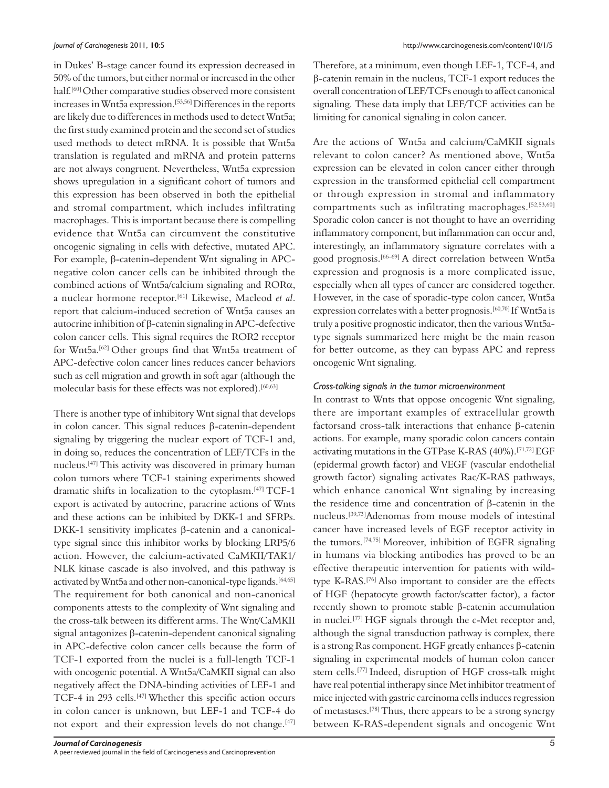in Dukes' B-stage cancer found its expression decreased in 50% of the tumors, but either normal or increased in the other half.[60] Other comparative studies observed more consistent increases in Wnt5a expression.[53,56] Differences in the reports are likely due to differences in methods used to detect Wnt5a; the first study examined protein and the second set of studies used methods to detect mRNA. It is possible that Wnt5a translation is regulated and mRNA and protein patterns are not always congruent. Nevertheless, Wnt5a expression shows upregulation in a significant cohort of tumors and this expression has been observed in both the epithelial and stromal compartment, which includes infiltrating macrophages. This is important because there is compelling evidence that Wnt5a can circumvent the constitutive oncogenic signaling in cells with defective, mutated APC. For example, β-catenin-dependent Wnt signaling in APCnegative colon cancer cells can be inhibited through the combined actions of Wnt5a/calcium signaling and RORα, a nuclear hormone receptor.[61] Likewise, Macleod *et al*. report that calcium-induced secretion of Wnt5a causes an autocrine inhibition of β-catenin signaling in APC-defective colon cancer cells. This signal requires the ROR2 receptor for Wnt5a.[62] Other groups find that Wnt5a treatment of APC-defective colon cancer lines reduces cancer behaviors such as cell migration and growth in soft agar (although the molecular basis for these effects was not explored).<sup>[60,63]</sup>

There is another type of inhibitory Wnt signal that develops in colon cancer. This signal reduces β-catenin-dependent signaling by triggering the nuclear export of TCF-1 and, in doing so, reduces the concentration of LEF/TCFs in the nucleus.[47] This activity was discovered in primary human colon tumors where TCF-1 staining experiments showed dramatic shifts in localization to the cytoplasm.[47] TCF-1 export is activated by autocrine, paracrine actions of Wnts and these actions can be inhibited by DKK-1 and SFRPs. DKK-1 sensitivity implicates β-catenin and a canonicaltype signal since this inhibitor works by blocking LRP5/6 action. However, the calcium-activated CaMKII/TAK1/ NLK kinase cascade is also involved, and this pathway is activated by Wnt5a and other non-canonical-type ligands.<sup>[64,65]</sup> The requirement for both canonical and non-canonical components attests to the complexity of Wnt signaling and the cross-talk between its different arms. The Wnt/CaMKII signal antagonizes β-catenin-dependent canonical signaling in APC-defective colon cancer cells because the form of TCF-1 exported from the nuclei is a full-length TCF-1 with oncogenic potential. A Wnt5a/CaMKII signal can also negatively affect the DNA-binding activities of LEF-1 and TCF-4 in 293 cells.[47] Whether this specific action occurs in colon cancer is unknown, but LEF-1 and TCF-4 do not export and their expression levels do not change.<sup>[47]</sup>

Therefore, at a minimum, even though LEF-1, TCF-4, and β-catenin remain in the nucleus, TCF-1 export reduces the overall concentration of LEF/TCFs enough to affect canonical signaling. These data imply that LEF/TCF activities can be limiting for canonical signaling in colon cancer.

Are the actions of Wnt5a and calcium/CaMKII signals relevant to colon cancer? As mentioned above, Wnt5a expression can be elevated in colon cancer either through expression in the transformed epithelial cell compartment or through expression in stromal and inflammatory compartments such as infiltrating macrophages.[52,53,60] Sporadic colon cancer is not thought to have an overriding inflammatory component, but inflammation can occur and, interestingly, an inflammatory signature correlates with a good prognosis.[66–69] A direct correlation between Wnt5a expression and prognosis is a more complicated issue, especially when all types of cancer are considered together. However, in the case of sporadic-type colon cancer, Wnt5a expression correlates with a better prognosis.[60,70] If Wnt5a is truly a positive prognostic indicator, then the various Wnt5atype signals summarized here might be the main reason for better outcome, as they can bypass APC and repress oncogenic Wnt signaling.

#### *Cross-talking signals in the tumor microenvironment*

In contrast to Wnts that oppose oncogenic Wnt signaling, there are important examples of extracellular growth factorsand cross-talk interactions that enhance β-catenin actions. For example, many sporadic colon cancers contain activating mutations in the GTPase K-RAS (40%).[71,72] EGF (epidermal growth factor) and VEGF (vascular endothelial growth factor) signaling activates Rac/K-RAS pathways, which enhance canonical Wnt signaling by increasing the residence time and concentration of β-catenin in the nucleus.[39,73]Adenomas from mouse models of intestinal cancer have increased levels of EGF receptor activity in the tumors.[74,75] Moreover, inhibition of EGFR signaling in humans via blocking antibodies has proved to be an effective therapeutic intervention for patients with wildtype K-RAS.[76] Also important to consider are the effects of HGF (hepatocyte growth factor/scatter factor), a factor recently shown to promote stable β-catenin accumulation in nuclei.[77] HGF signals through the c-Met receptor and, although the signal transduction pathway is complex, there is a strong Ras component. HGF greatly enhances β-catenin signaling in experimental models of human colon cancer stem cells.[77] Indeed, disruption of HGF cross-talk might have real potential intherapy since Met inhibitor treatment of mice injected with gastric carcinoma cells induces regression of metastases.[78] Thus, there appears to be a strong synergy between K-RAS-dependent signals and oncogenic Wnt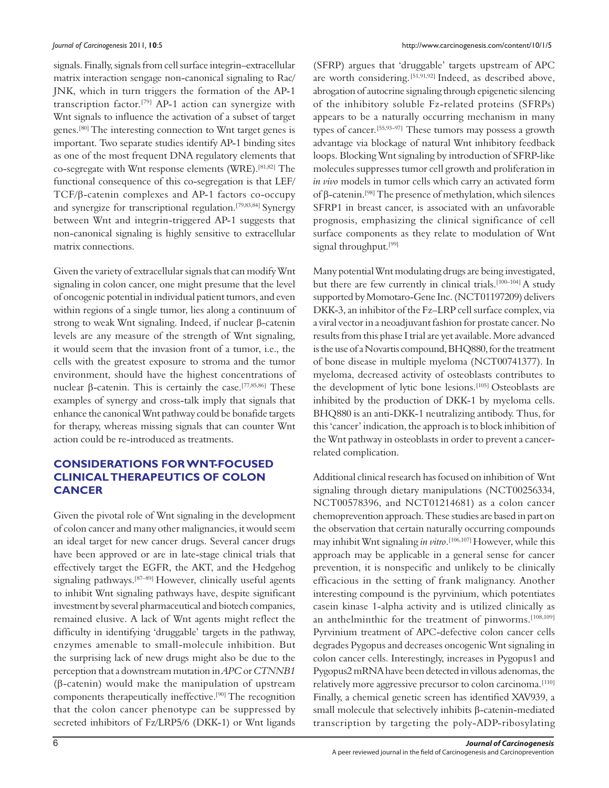signals. Finally, signals from cell surface integrin–extracellular matrix interaction sengage non-canonical signaling to Rac/ JNK, which in turn triggers the formation of the AP-1 transcription factor.[79] AP-1 action can synergize with Wnt signals to influence the activation of a subset of target genes.[80] The interesting connection to Wnt target genes is important. Two separate studies identify AP-1 binding sites as one of the most frequent DNA regulatory elements that co-segregate with Wnt response elements (WRE).[81,82] The functional consequence of this co-segregation is that LEF/ TCF/β-catenin complexes and AP-1 factors co-occupy and synergize for transcriptional regulation.[79,83,84] Synergy between Wnt and integrin-triggered AP-1 suggests that non-canonical signaling is highly sensitive to extracellular matrix connections.

Given the variety of extracellular signals that can modify Wnt signaling in colon cancer, one might presume that the level of oncogenic potential in individual patient tumors, and even within regions of a single tumor, lies along a continuum of strong to weak Wnt signaling. Indeed, if nuclear β-catenin levels are any measure of the strength of Wnt signaling, it would seem that the invasion front of a tumor, i.e., the cells with the greatest exposure to stroma and the tumor environment, should have the highest concentrations of nuclear β-catenin. This is certainly the case.<sup>[77,85,86]</sup> These examples of synergy and cross-talk imply that signals that enhance the canonical Wnt pathway could be bonafide targets for therapy, whereas missing signals that can counter Wnt action could be re-introduced as treatments.

#### **CONSIDERATIONS FOR WNT-FOCUSED CLINICAL THERAPEUTICS OF COLON CANCER**

Given the pivotal role of Wnt signaling in the development of colon cancer and many other malignancies, it would seem an ideal target for new cancer drugs. Several cancer drugs have been approved or are in late-stage clinical trials that effectively target the EGFR, the AKT, and the Hedgehog signaling pathways.[87–89] However, clinically useful agents to inhibit Wnt signaling pathways have, despite significant investment by several pharmaceutical and biotech companies, remained elusive. A lack of Wnt agents might reflect the difficulty in identifying 'druggable' targets in the pathway, enzymes amenable to small-molecule inhibition. But the surprising lack of new drugs might also be due to the perception that a downstream mutation in *APC* or *CTNNB1*  (β-catenin) would make the manipulation of upstream components therapeutically ineffective.[90] The recognition that the colon cancer phenotype can be suppressed by secreted inhibitors of Fz/LRP5/6 (DKK-1) or Wnt ligands

(SFRP) argues that 'druggable' targets upstream of APC are worth considering. [51,91,92] Indeed, as described above, abrogation of autocrine signaling through epigenetic silencing of the inhibitory soluble Fz-related proteins (SFRPs) appears to be a naturally occurring mechanism in many types of cancer.[55,93–97] These tumors may possess a growth advantage via blockage of natural Wnt inhibitory feedback loops. Blocking Wnt signaling by introduction of SFRP-like molecules suppresses tumor cell growth and proliferation in *in vivo* models in tumor cells which carry an activated form of β-catenin.[98] The presence of methylation, which silences SFRP1 in breast cancer, is associated with an unfavorable prognosis, emphasizing the clinical significance of cell surface components as they relate to modulation of Wnt signal throughput.<sup>[99]</sup>

Many potential Wnt modulating drugs are being investigated, but there are few currently in clinical trials.<sup>[100-104]</sup> A study supported by Momotaro-Gene Inc. (NCT01197209) delivers DKK-3, an inhibitor of the Fz–LRP cell surface complex, via a viral vector in a neoadjuvant fashion for prostate cancer. No results from this phase I trial are yet available. More advanced is the use of a Novartis compound, BHQ880, for the treatment of bone disease in multiple myeloma (NCT00741377). In myeloma, decreased activity of osteoblasts contributes to the development of lytic bone lesions.<sup>[105]</sup> Osteoblasts are inhibited by the production of DKK-1 by myeloma cells. BHQ880 is an anti-DKK-1 neutralizing antibody. Thus, for this 'cancer' indication, the approach is to block inhibition of the Wnt pathway in osteoblasts in order to prevent a cancerrelated complication.

Additional clinical research has focused on inhibition of Wnt signaling through dietary manipulations (NCT00256334, NCT00578396, and NCT01214681) as a colon cancer chemoprevention approach. These studies are based in part on the observation that certain naturally occurring compounds may inhibit Wnt signaling *in vitro*. [106,107] However, while this approach may be applicable in a general sense for cancer prevention, it is nonspecific and unlikely to be clinically efficacious in the setting of frank malignancy. Another interesting compound is the pyrvinium, which potentiates casein kinase 1-alpha activity and is utilized clinically as an anthelminthic for the treatment of pinworms.<sup>[108,109]</sup> Pyrvinium treatment of APC-defective colon cancer cells degrades Pygopus and decreases oncogenic Wnt signaling in colon cancer cells. Interestingly, increases in Pygopus1 and Pygopus2 mRNA have been detected in villous adenomas, the relatively more aggressive precursor to colon carcinoma.<sup>[110]</sup> Finally, a chemical genetic screen has identified XAV939, a small molecule that selectively inhibits β-catenin-mediated transcription by targeting the poly-ADP-ribosylating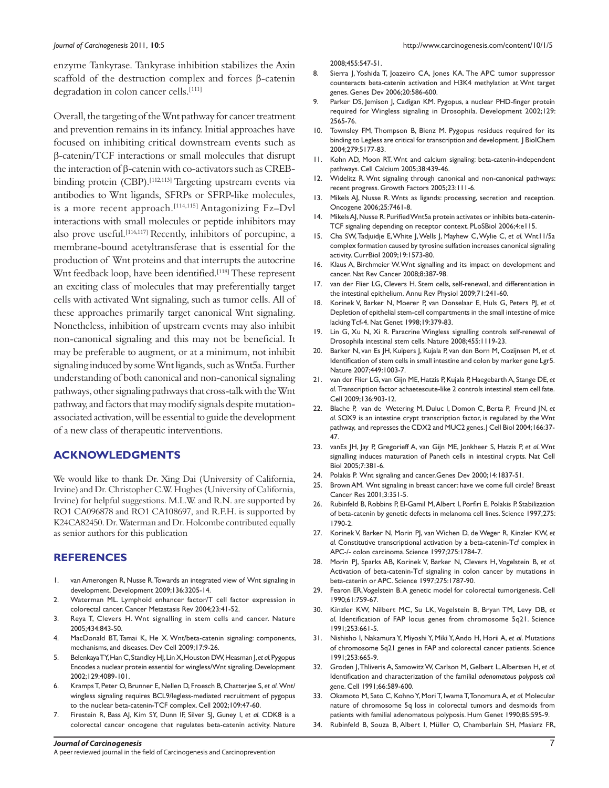enzyme Tankyrase. Tankyrase inhibition stabilizes the Axin scaffold of the destruction complex and forces β-catenin degradation in colon cancer cells.[111]

Overall, the targeting of the Wnt pathway for cancer treatment and prevention remains in its infancy. Initial approaches have focused on inhibiting critical downstream events such as β-catenin/TCF interactions or small molecules that disrupt the interaction of β-catenin with co-activators such as CREBbinding protein (CBP).<sup>[112,113]</sup> Targeting upstream events via antibodies to Wnt ligands, SFRPs or SFRP-like molecules, is a more recent approach.<sup>[114,115]</sup> Antagonizing Fz-Dvl interactions with small molecules or peptide inhibitors may also prove useful.[116,117] Recently, inhibitors of porcupine, a membrane-bound acetyltransferase that is essential for the production of Wnt proteins and that interrupts the autocrine Wnt feedback loop, have been identified.<sup>[118]</sup> These represent an exciting class of molecules that may preferentially target cells with activated Wnt signaling, such as tumor cells. All of these approaches primarily target canonical Wnt signaling. Nonetheless, inhibition of upstream events may also inhibit non-canonical signaling and this may not be beneficial. It may be preferable to augment, or at a minimum, not inhibit signaling induced by some Wnt ligands, such as Wnt5a. Further understanding of both canonical and non-canonical signaling pathways, other signaling pathways that cross-talk with the Wnt pathway, and factors that may modify signals despite mutationassociated activation, will be essential to guide the development of a new class of therapeutic interventions.

#### **ACKNOWLEDGMENTS**

We would like to thank Dr. Xing Dai (University of California, Irvine) and Dr. Christopher C.W. Hughes (University of California, Irvine) for helpful suggestions. M.L.W. and R.N. are supported by RO1 CA096878 and RO1 CA108697, and R.F.H. is supported by K24CA82450. Dr. Waterman and Dr. Holcombe contributed equally as senior authors for this publication

#### **REFERENCES**

- 1. van Amerongen R, Nusse R. Towards an integrated view of Wnt signaling in development. Development 2009;136:3205-14.
- 2. Waterman ML. Lymphoid enhancer factor/T cell factor expression in colorectal cancer. Cancer Metastasis Rev 2004;23:41-52.
- 3. Reya T, Clevers H. Wnt signalling in stem cells and cancer. Nature 2005;434:843-50.
- 4. MacDonald BT, Tamai K, He X. Wnt/beta-catenin signaling: components, mechanisms, and diseases. Dev Cell 2009;17:9-26.
- 5. Belenkaya TY, Han C, Standley HJ, Lin X, Houston DW, Heasman J, *et al.* Pygopus Encodes a nuclear protein essential for wingless/Wnt signaling. Development 2002;129:4089-101.
- 6. Kramps T, Peter O, Brunner E, Nellen D, Froesch B, Chatterjee S, *et al.* Wnt/ wingless signaling requires BCL9/legless-mediated recruitment of pygopus to the nuclear beta-catenin-TCF complex. Cell 2002;109:47-60.
- 7. Firestein R, Bass AJ, Kim SY, Dunn IF, Silver SJ, Guney I, *et al.* CDK8 is a colorectal cancer oncogene that regulates beta-catenin activity. Nature

2008;455:547-51.

- 8. Sierra J, Yoshida T, Joazeiro CA, Jones KA. The APC tumor suppressor counteracts beta-catenin activation and H3K4 methylation at Wnt target genes. Genes Dev 2006;20:586-600.
- 9. Parker DS, Jemison J, Cadigan KM. Pygopus, a nuclear PHD-finger protein required for Wingless signaling in Drosophila. Development 2002;129: 2565-76.
- 10. Townsley FM, Thompson B, Bienz M. Pygopus residues required for its binding to Legless are critical for transcription and development. J BiolChem 2004;279:5177-83.
- 11. Kohn AD, Moon RT. Wnt and calcium signaling: beta-catenin-independent pathways. Cell Calcium 2005;38:439-46.
- 12. Widelitz R. Wnt signaling through canonical and non-canonical pathways: recent progress. Growth Factors 2005;23:111-6.
- 13. Mikels AJ, Nusse R. Wnts as ligands: processing, secretion and reception. Oncogene 2006;25:7461-8.
- 14. Mikels AJ, Nusse R. Purified Wnt5a protein activates or inhibits beta-catenin-TCF signaling depending on receptor context. PLoSBiol 2006;4:e115.
- 15. Cha SW, Tadjuidje E, White J, Wells J, Mayhew C, Wylie C, *et al.* Wnt11/5a complex formation caused by tyrosine sulfation increases canonical signaling activity. CurrBiol 2009;19:1573-80.
- 16. Klaus A, Birchmeier W. Wnt signalling and its impact on development and cancer. Nat Rev Cancer 2008;8:387-98.
- 17. van der Flier LG, Clevers H. Stem cells, self-renewal, and differentiation in the intestinal epithelium. Annu Rev Physiol 2009;71:241-60.
- 18. Korinek V, Barker N, Moerer P, van Donselaar E, Huls G, Peters PJ, *et al.*  Depletion of epithelial stem-cell compartments in the small intestine of mice lacking Tcf-4. Nat Genet 1998;19:379-83.
- 19. Lin G, Xu N, Xi R. Paracrine Wingless signalling controls self-renewal of Drosophila intestinal stem cells. Nature 2008;455:1119-23.
- 20. Barker N, van Es JH, Kuipers J, Kujala P, van den Born M, Cozijnsen M, *et al.*  Identification of stem cells in small intestine and colon by marker gene Lgr5. Nature 2007;449:1003-7.
- 21. van der Flier LG, van Gijn ME, Hatzis P, Kujala P, Haegebarth A, Stange DE, *et al.* Transcription factor achaetescute-like 2 controls intestinal stem cell fate. Cell 2009;136:903-12.
- 22. Blache P, van de Wetering M, Duluc I, Domon C, Berta P, Freund JN, *et al.* SOX9 is an intestine crypt transcription factor, is regulated by the Wnt pathway, and represses the CDX2 and MUC2 genes. J Cell Biol 2004;166:37-47.
- 23. vanEs JH, Jay P, Gregorieff A, van Gijn ME, Jonkheer S, Hatzis P, *et al*. Wnt signalling induces maturation of Paneth cells in intestinal crypts. Nat Cell Biol 2005;7:381-6.
- 24. Polakis P. Wnt signaling and cancer.Genes Dev 2000;14:1837-51.
- 25. Brown AM. Wnt signaling in breast cancer: have we come full circle? Breast Cancer Res 2001;3:351-5.
- 26. Rubinfeld B, Robbins P, El-Gamil M, Albert I, Porfiri E, Polakis P. Stabilization of beta-catenin by genetic defects in melanoma cell lines. Science 1997;275: 1790-2.
- 27. Korinek V, Barker N, Morin PJ, van Wichen D, de Weger R, Kinzler KW, *et al.* Constitutive transcriptional activation by a beta-catenin-Tcf complex in APC-/- colon carcinoma. Science 1997;275:1784-7.
- 28. Morin PJ, Sparks AB, Korinek V, Barker N, Clevers H, Vogelstein B, *et al.*  Activation of beta-catenin-Tcf signaling in colon cancer by mutations in beta-catenin or APC. Science 1997;275:1787-90.
- 29. Fearon ER, Vogelstein B. A genetic model for colorectal tumorigenesis. Cell 1990;61:759-67.
- 30. Kinzler KW, Nilbert MC, Su LK, Vogelstein B, Bryan TM, Levy DB, *et al.* Identification of FAP locus genes from chromosome 5q21. Science 1991;253:661-5.
- 31. Nishisho I, Nakamura Y, Miyoshi Y, Miki Y, Ando H, Horii A, *et al*. Mutations of chromosome 5q21 genes in FAP and colorectal cancer patients. Science 1991;253:665-9.
- 32. Groden J, Thliveris A, Samowitz W, Carlson M, Gelbert L, Albertsen H, *et al.*  Identification and characterization of the familial *adenomatous polyposis coli* gene. Cell 1991;66:589-600.
- 33. Okamoto M, Sato C, Kohno Y, Mori T, Iwama T, Tonomura A, *et al.* Molecular nature of chromosome 5q loss in colorectal tumors and desmoids from patients with familial adenomatous polyposis. Hum Genet 1990;85:595-9.
- 34. Rubinfeld B, Souza B, Albert I, Müller O, Chamberlain SH, Masiarz FR,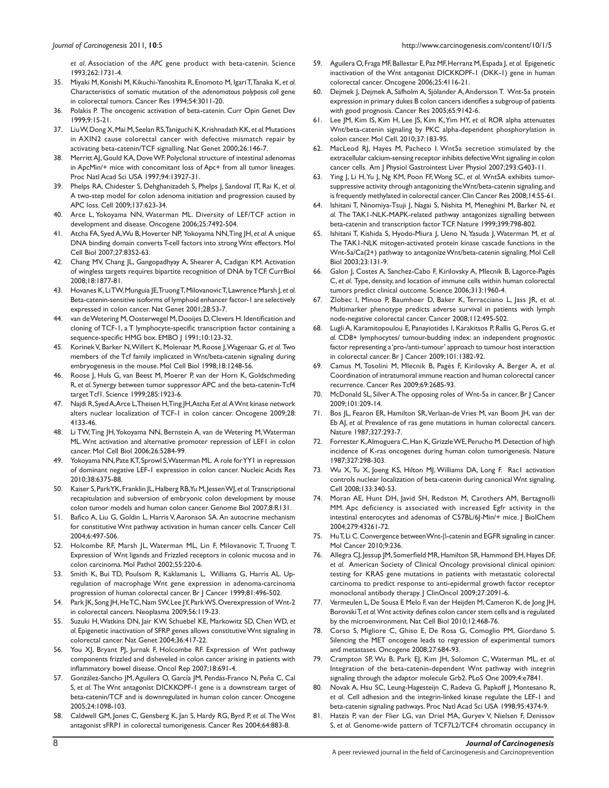*et al*. Association of the *APC* gene product with beta-catenin. Science 1993;262:1731-4.

- 35. Miyaki M, Konishi M, Kikuchi-Yanoshita R, Enomoto M, Igari T, Tanaka K, *et al.*  Characteristics of somatic mutation of the *adenomatous polyposis coli* gene in colorectal tumors. Cancer Res 1994;54:3011-20.
- 36. Polakis P. The oncogenic activation of beta-catenin. Curr Opin Genet Dev 1999;9:15-21.
- 37. Liu W, Dong X, Mai M, Seelan RS, Taniguchi K, Krishnadath KK, *et al.* Mutations in AXIN2 cause colorectal cancer with defective mismatch repair by activating beta-catenin/TCF signalling. Nat Genet 2000;26:146-7.
- 38. Merritt AJ, Gould KA, Dove WF. Polyclonal structure of intestinal adenomas in ApcMin/+ mice with concomitant loss of Apc+ from all tumor lineages. Proc Natl Acad Sci USA 1997;94:13927-31.
- 39. Phelps RA, Chidester S, Dehghanizadeh S, Phelps J, Sandoval IT, Rai K, *et al.*  A two-step model for colon adenoma initiation and progression caused by APC loss. Cell 2009;137:623-34.
- Arce L, Yokoyama NN, Waterman ML. Diversity of LEF/TCF action in development and disease. Oncogene 2006;25:7492-504.
- 41. Atcha FA, Syed A, Wu B, Hoverter NP, Yokoyama NN, Ting JH, *et al.* A unique DNA binding domain converts T-cell factors into strong Wnt effectors. Mol Cell Biol 2007;27:8352-63.
- 42. Chang MV, Chang JL, Gangopadhyay A, Shearer A, Cadigan KM. Activation of wingless targets requires bipartite recognition of DNA by TCF. CurrBiol 2008;18:1877-81.
- 43. Hovanes K, Li TW, Munguia JE, Truong T, Milovanovic T, Lawrence Marsh J, *et al.*  Beta-catenin-sensitive isoforms of lymphoid enhancer factor-1 are selectively expressed in colon cancer. Nat Genet 2001;28:53-7.
- 44. van de Wetering M, Oosterwegel M, Dooijes D, Clevers H. Identification and cloning of TCF-1, a T lymphocyte-specific transcription factor containing a sequence-specific HMG box. EMBO J 1991;10:123-32.
- 45. Korinek V, Barker N, Willert K, Molenaar M, Roose J, Wagenaar G, *et al.* Two members of the Tcf family implicated in Wnt/beta-catenin signaling during embryogenesis in the mouse. Mol Cell Biol 1998;18:1248-56.
- 46. Roose J, Huls G, van Beest M, Moerer P, van der Horn K, Goldschmeding R, *et al.* Synergy between tumor suppressor APC and the beta-catenin-Tcf4 target Tcf1. Science 1999;285:1923-6.
- 47. Najdi R, Syed A, Arce L, Theisen H, Ting JH, Atcha F,*et al.* A Wnt kinase network alters nuclear localization of TCF-1 in colon cancer. Oncogene 2009;28: 4133-46.
- 48. Li TW, Ting JH, Yokoyama NN, Bernstein A, van de Wetering M, Waterman ML. Wnt activation and alternative promoter repression of LEF1 in colon cancer. Mol Cell Biol 2006;26:5284-99.
- 49. Yokoyama NN, Pate KT, Sprowl S, Waterman ML. A role for YY1 in repression of dominant negative LEF-1 expression in colon cancer. Nucleic Acids Res 2010;38:6375-88.
- 50. Kaiser S, Park YK, Franklin JL, Halberg RB, Yu M, Jessen WJ, *et al.* Transcriptional recapitulation and subversion of embryonic colon development by mouse colon tumor models and human colon cancer. Genome Biol 2007;8:R131.
- 51. Bafico A, Liu G, Goldin L, Harris V, Aaronson SA. An autocrine mechanism for constitutive Wnt pathway activation in human cancer cells. Cancer Cell 2004;6:497-506.
- 52. Holcombe RF, Marsh JL, Waterman ML, Lin F, Milovanovic T, Truong T. Expression of Wnt ligands and Frizzled receptors in colonic mucosa and in colon carcinoma. Mol Pathol 2002;55:220-6.
- 53. Smith K, Bui TD, Poulsom R, Kaklamanis L, Williams G, Harris AL. Upregulation of macrophage Wnt gene expression in adenoma-carcinoma progression of human colorectal cancer. Br J Cancer 1999;81:496-502.
- 54. Park JK, Song JH, He TC, Nam SW, Lee JY, Park WS. Overexpression of Wnt-2 in colorectal cancers. Neoplasma 2009;56:119-23.
- 55. Suzuki H, Watkins DN, Jair KW, Schuebel KE, Markowitz SD, Chen WD, *et al.* Epigenetic inactivation of SFRP genes allows constitutive Wnt signaling in colorectal cancer. Nat Genet 2004;36:417-22.
- 56. You XJ, Bryant PJ, Jurnak F, Holcombe RF. Expression of Wnt pathway components frizzled and disheveled in colon cancer arising in patients with inflammatory bowel disease. Oncol Rep 2007;18:691-4.
- 57. González-Sancho JM, Aguilera O, García JM, Pendás-Franco N, Peña C, Cal S, *et al.* The Wnt antagonist DICKKOPF-1 gene is a downstream target of beta-catenin/TCF and is downregulated in human colon cancer. Oncogene 2005;24:1098-103.
- 58. Caldwell GM, Jones C, Gensberg K, Jan S, Hardy RG, Byrd P, *et al.* The Wnt antagonist sFRP1 in colorectal tumorigenesis. Cancer Res 2004;64:883-8.
- 59. Aguilera O, Fraga MF, Ballestar E, Paz MF, Herranz M, Espada J, *et al.* Epigenetic inactivation of the Wnt antagonist DICKKOPF-1 (DKK-1) gene in human colorectal cancer. Oncogene 2006;25:4116-21.
- 60. Dejmek J, Dejmek A, Säfholm A, Sjölander A, Andersson T. Wnt-5a protein expression in primary dukes B colon cancers identifies a subgroup of patients with good prognosis. Cancer Res 2005;65:9142-6.
- 61. Lee JM, Kim IS, Kim H, Lee JS, Kim K, Yim HY, *et al.* ROR alpha attenuates Wnt/beta-catenin signaling by PKC alpha-dependent phosphorylation in colon cancer. Mol Cell. 2010;37:183-95.
- 62. MacLeod RJ, Hayes M, Pacheco I. Wnt5a secretion stimulated by the extracellular calcium-sensing receptor inhibits defective Wnt signaling in colon cancer cells. Am J Physiol Gastrointest Liver Physiol 2007;293:G403-11.
- 63. Ying J, Li H, Yu J, Ng KM, Poon FF, Wong SC, *et al.* Wnt5A exhibits tumorsuppressive activity through antagonizing the Wnt/beta-catenin signaling, and is frequently methylated in colorectal cancer. Clin Cancer Res 2008;14:55-61.
- 64. Ishitani T, Ninomiya-Tsuji J, Nagai S, Nishita M, Meneghini M, Barker N, *et al.* The TAK1-NLK-MAPK-related pathway antagonizes signalling between beta-catenin and transcription factor TCF. Nature 1999;399:798-802.
- 65. Ishitani T, Kishida S, Hyodo-Miura J, Ueno N, Yasuda J, Waterman M, *et al.*  The TAK1-NLK mitogen-activated protein kinase cascade functions in the Wnt-5a/Ca(2+) pathway to antagonize Wnt/beta-catenin signaling. Mol Cell Biol 2003;23:131-9.
- 66. Galon J, Costes A, Sanchez-Cabo F, Kirilovsky A, Mlecnik B, Lagorce-Pagès C, *et al*. Type, density, and location of immune cells within human colorectal tumors predict clinical outcome. Science 2006;313:1960-4.
- 67. Zlobec I, Minoo P, Baumhoer D, Baker K, Terracciano L, Jass JR, *et al.*  Multimarker phenotype predicts adverse survival in patients with lymph node-negative colorectal cancer. Cancer 2008;112:495-502.
- 68. Lugli A, Karamitopoulou E, Panayiotides I, Karakitsos P, Rallis G, Peros G, *et al.* CD8+ lymphocytes/ tumour-budding index: an independent prognostic factor representing a 'pro-/anti-tumour' approach to tumour host interaction in colorectal cancer. Br J Cancer 2009;101:1382-92.
- 69. Camus M, Tosolini M, Mlecnik B, Pagès F, Kirilovsky A, Berger A, *et al*. Coordination of intratumoral immune reaction and human colorectal cancer recurrence. Cancer Res 2009;69:2685-93.
- 70. McDonald SL, Silver A. The opposing roles of Wnt-5a in cancer. Br J Cancer 2009;101:209-14.
- 71. Bos JL, Fearon ER, Hamilton SR, Verlaan-de Vries M, van Boom JH, van der Eb AJ, et al. Prevalence of ras gene mutations in human colorectal cancers. Nature 1987;327:293-7.
- 72. Forrester K, Almoguera C, Han K, Grizzle WE, Perucho M. Detection of high incidence of K-ras oncogenes during human colon tumorigenesis. Nature 1987;327:298-303.
- 73. Wu X, Tu X, Joeng KS, Hilton MJ, Williams DA, Long F. Rac1 activation controls nuclear localization of beta-catenin during canonical Wnt signaling. Cell 2008;133:340-53.
- 74. Moran AE, Hunt DH, Javid SH, Redston M, Carothers AM, Bertagnolli MM. Apc deficiency is associated with increased Egfr activity in the intestinal enterocytes and adenomas of C57BL/6J-Min/+ mice. J BiolChem 2004;279:43261-72.
- 75. Hu T, Li C. Convergence between Wnt-β-catenin and EGFR signaling in cancer. Mol Cancer 2010;9:236.
- 76. Allegra CJ, Jessup JM, Somerfield MR, Hamilton SR, Hammond EH, Hayes DF, *et al.* American Society of Clinical Oncology provisional clinical opinion: testing for KRAS gene mutations in patients with metastatic colorectal carcinoma to predict response to anti-epidermal growth factor receptor monoclonal antibody therapy. J ClinOncol 2009;27:2091-6.
- 77. Vermeulen L, De Sousa E Melo F, van der Heijden M, Cameron K, de Jong JH, Borovski T, *et al.* Wnt activity defines colon cancer stem cells and is regulated by the microenvironment. Nat Cell Biol 2010;12:468-76.
- 78. Corso S, Migliore C, Ghiso E, De Rosa G, Comoglio PM, Giordano S. Silencing the MET oncogene leads to regression of experimental tumors and metastases. Oncogene 2008;27:684-93.
- 79. Crampton SP, Wu B, Park EJ, Kim JH, Solomon C, Waterman ML, *et al.*  Integration of the beta-catenin-dependent Wnt pathway with integrin signaling through the adaptor molecule Grb2. PLoS One 2009;4:e7841.
- 80. Novak A, Hsu SC, Leung-Hagesteijn C, Radeva G, Papkoff J, Montesano R, *et al*. Cell adhesion and the integrin-linked kinase regulate the LEF-1 and beta-catenin signaling pathways. Proc Natl Acad Sci USA 1998;95:4374-9.
- 81. Hatzis P, van der Flier LG, van Driel MA, Guryev V, Nielsen F, Denissov S, *et al.* Genome-wide pattern of TCF7L2/TCF4 chromatin occupancy in